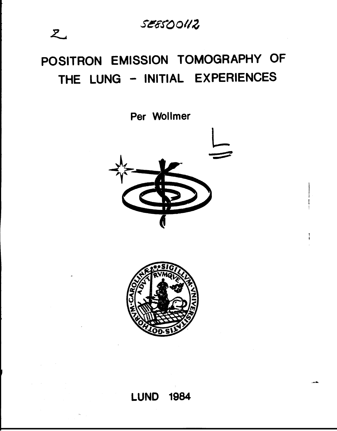SE8500112

# **POSITRON EMISSION TOMOGRAPHY OF THE LUNG - INITIAL EXPERIENCES**

 $z$ 

**Per Wollmer**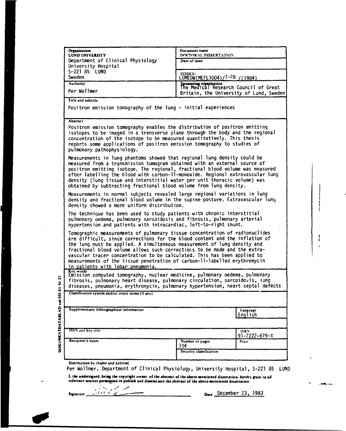| Organization<br>LUND UNIVERSITY                                                                                                                                                                                                                                                                                                                                                                                                                                                                                   | Document name<br>DOCTORAL DISSERTATION                           |                                      |  |  |
|-------------------------------------------------------------------------------------------------------------------------------------------------------------------------------------------------------------------------------------------------------------------------------------------------------------------------------------------------------------------------------------------------------------------------------------------------------------------------------------------------------------------|------------------------------------------------------------------|--------------------------------------|--|--|
| Department of Clinical Physiology                                                                                                                                                                                                                                                                                                                                                                                                                                                                                 | Date of issue                                                    |                                      |  |  |
| University Hospital<br>S-221 85 LUND                                                                                                                                                                                                                                                                                                                                                                                                                                                                              |                                                                  |                                      |  |  |
| Sweden                                                                                                                                                                                                                                                                                                                                                                                                                                                                                                            | CODEN:<br>LUMEDW(MEFL1004)/7-28 /(1984)                          |                                      |  |  |
| Author(s)                                                                                                                                                                                                                                                                                                                                                                                                                                                                                                         | Sponsoring organization<br>The Medical Research Council of Great |                                      |  |  |
| Per Wollmer                                                                                                                                                                                                                                                                                                                                                                                                                                                                                                       | Britain, the University of Lund, Sweden                          |                                      |  |  |
| Title and subtitle                                                                                                                                                                                                                                                                                                                                                                                                                                                                                                |                                                                  |                                      |  |  |
| Positron emission tomography of the lung - initial experiences                                                                                                                                                                                                                                                                                                                                                                                                                                                    |                                                                  |                                      |  |  |
| <b>Abstract</b><br>Positron emission tomography enables the distribution of positron emitting<br>isotopes to be imaged in a transverse plane through the body and the regional<br>concentration of the isotope to be measured quantitatively. This thesis<br>reports some applications of positron emission tomography to studies of<br>pulmonary pathophysiology.                                                                                                                                                |                                                                  |                                      |  |  |
| Measurements in lung phantoms showed that regional lung density could be<br>measured from a transmission tomogram obtained with an external source of<br>positron emitting isotope. The regional, fractional blood volume was measured<br>after labelling the blood with carbon-ll-monoxide. Regional extravascular lung<br>density (lung tissue and interstitial water per unit thoracic volume) was<br>obtained by subtracting fractional blood volume from lung density.                                       |                                                                  |                                      |  |  |
| Measurements in normal subjects revealed large regional variations in lung<br>density and fractional blood volume in the supine posture. Extravascular lung<br>density showed a more uniform distribution.                                                                                                                                                                                                                                                                                                        |                                                                  |                                      |  |  |
| The technique has been used to study patients with chronic interstitial<br>pulmonary oedema, pulmonary sarcoidosis and fibrosis, pulmonary arterial<br>nypertension and patients with intracardiac, left-to-right shunt.                                                                                                                                                                                                                                                                                          |                                                                  |                                      |  |  |
| Tomographic measurements of pulmonary tissue concentration of radionuclides<br>are difficult, since corrections for the blood content and the inflation of<br>the lung must be applied. A simultaneous measurement of lung density and<br>fractional blood volume allows such corrections to be made and the extra-<br>vascular tracer concentration to be calculated. This has been applied to<br>measurements of the tissue penetration of carbon-11-labelled erythromycin<br>in patients with lobar pneumonia. |                                                                  |                                      |  |  |
| Key words<br>Emission computed tomography, nuclear medicine, pulmonary oedema, pulmonary<br>fibrosis, pulmonary heart disease, pulmonary circulation, sarcoidosis, tung<br>diseases, pneumonia, erythromycin, pulmonary hypertension, heart septal defects                                                                                                                                                                                                                                                        |                                                                  |                                      |  |  |
| Classification system and/or index terms (if any)                                                                                                                                                                                                                                                                                                                                                                                                                                                                 |                                                                  |                                      |  |  |
| Supplementary bibliographical information                                                                                                                                                                                                                                                                                                                                                                                                                                                                         |                                                                  | Language<br>English                  |  |  |
| ISSN and key title                                                                                                                                                                                                                                                                                                                                                                                                                                                                                                |                                                                  | <b>158N</b><br>$91 - 7222 - 679 - X$ |  |  |
| Recipient's notes                                                                                                                                                                                                                                                                                                                                                                                                                                                                                                 | Number of pages<br>104<br>Security classification                | Price                                |  |  |
| Distribution by (name and address)<br>Per Wollmer, Department of Clinical Physiology, University Hospital, S-221 85<br>LUND                                                                                                                                                                                                                                                                                                                                                                                       |                                                                  |                                      |  |  |
| 1, the undersigned, being the copyright owner of the abstract of the above-mentioned dissertation, hereby grant to all<br>reference sources permission to publish and disseminate the abstract of the above-mentioned dissertation.                                                                                                                                                                                                                                                                               |                                                                  |                                      |  |  |
| $\alpha$<br>Signature                                                                                                                                                                                                                                                                                                                                                                                                                                                                                             |                                                                  | Date December 23, 1983               |  |  |
|                                                                                                                                                                                                                                                                                                                                                                                                                                                                                                                   |                                                                  |                                      |  |  |

 $\mathbf{I}$  $\mathbf{r}$ 

 $\begin{array}{c} 1 \\ 1 \\ 1 \end{array}$ 

 $\bullet$ 

للسابطان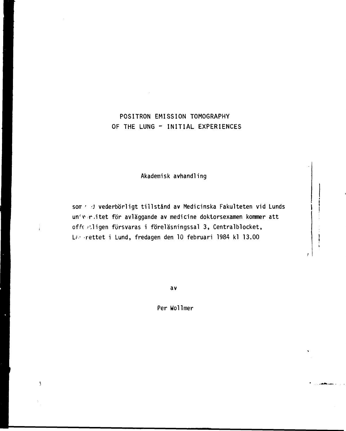# POSITRON EMISSION TOMOGRAPHY OF THE LUNG - INITIAL EXPERIENCES

**Akademisk avhandling**

som  $\epsilon$   $\beta$  vederbörligt tillstånd av Medicinska Fakulteten vid Lunds un'ver, itet för avläggande av medicine doktorsexamen kommer att offe > ligen försvaras i föreläsningssal 3, Centralblocket, !\_?:• rettet i Lund, fredagen den 10 februari 1984 kl 13.00

÷<br>i

 $\overline{3}$ 

**av**

Per Wollmer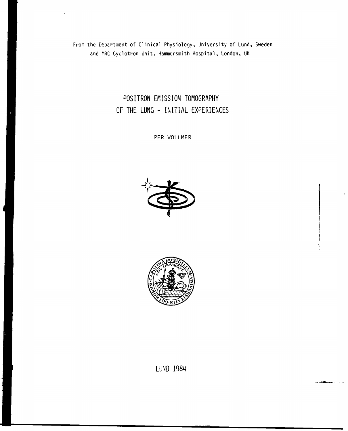From the Department of Clinical Physiology, University of Lund, Sweden and MRC Cyclotron Unit, Hammersmith Hospital, London, UK

> **POSITRON EMISSION TOMOGRAPHY OF THE LUNG - INITIAL EXPERIENCES**

> > PER WOLLMER





**LUND 1984**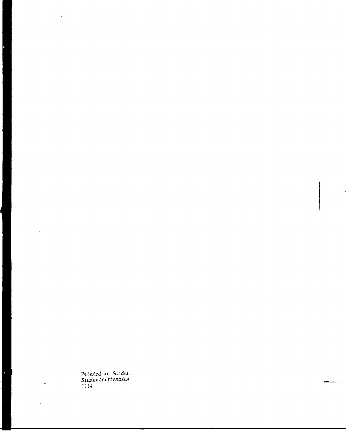Printed in Sweden<br>Studentlittenatur<br>1984

 $\bar{\mathbf{r}}$ 

l,

 $\hat{A}$ 

 $\sim$   $\frac{1}{2}$ 

 $\frac{1}{4}$  .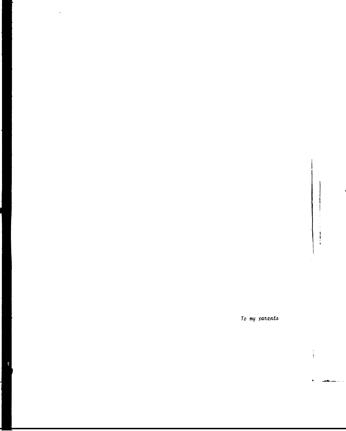$\vdots$ 

 $\frac{1}{2}$ 

*To my*

Ę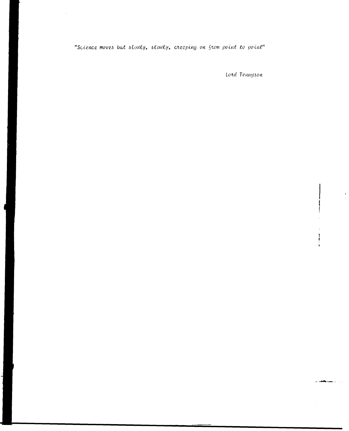"Science moves but slowly, slowly, creeping on from point to point"

Lord Tennyson

 $\frac{1}{\hat{\mathbf{s}}}$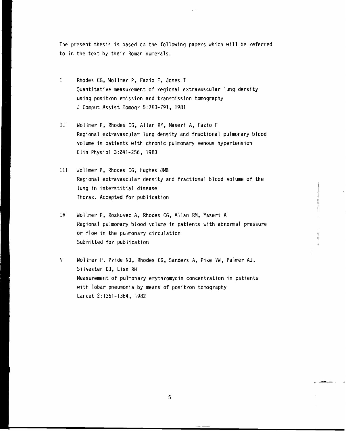**The present thesis is based on the following papers which will be referred to in the text by their Roman numerals.**

- **I Rhodes CG, Wollmer P, Fazio F, Jones T Quantitative measurement of regional extravascular lung density using positron emission and transmission tomography J Coinput Assist Tomogr 5:783-791, 1981**
- **Ii Wollmer P, Rhodes CG, Allan RM, Maseri A, Fazio F Regional extravascular lung density and fractional pulmonary blood volume in patients with chronic pulmonary venous hypertension Clin Physiol 3:241-256, 1983**
- **III Wollmer P, Rhodes CG, Hughes JMB Regional extravascular density and fractional blood volume of the lung in interstitial disease Thorax. Accepted for publication**
- **IV Wollmer P, Rozkovec A, Rhodes CG, Allan RM, Maseri A Regional pulmonary blood volume in patients with abnormal pressure or flow in the pulmonary circulation Submitted for publication**
- V **Wollmer P, Pride NB, Rhodes CG, Sanders A, Pike VW, Palmer AJ, Silvester DJ, Liss RH Measurement of pulmonary erythromycin concentration in patients with lobar pneumonia by means of positron tomography Lancet 2:1361-1364, 1982**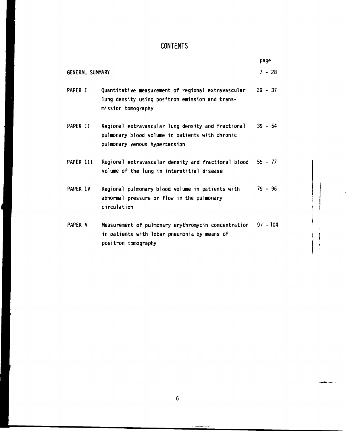# **CONTENTS**

|                        |                                                                                                                                        | page       |
|------------------------|----------------------------------------------------------------------------------------------------------------------------------------|------------|
| <b>GENERAL SUMMARY</b> |                                                                                                                                        | $7 - 28$   |
| PAPER I                | Quantitative measurement of regional extravascular<br>lung density using positron emission and trans-<br>mission tomography            | $29 - 37$  |
| PAPER II               | Regional extravascular lung density and fractional<br>pulmonary blood volume in patients with chronic<br>pulmonary venous hypertension | $39 - 54$  |
| PAPER III              | Regional extravascular density and fractional blood<br>volume of the lung in interstitial disease                                      | $55 - 77$  |
| PAPER IV               | Regional pulmonary blood volume in patients with<br>abnormal pressure or flow in the pulmonary<br>circulation                          | $79 - 96$  |
| PAPER V                | Measurement of pulmonary erythromycin concentration<br>in patients with lobar pneumonia by means of<br>positron tomography             | $97 - 104$ |

 $\frac{1}{2}$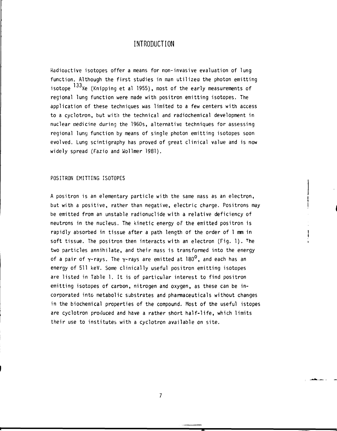### **INTRODUCTION**

**Radioactive isotopes offer a means for non-invasive evaluation of lung function. Although the first studies in man utilized the photon emitting** isotope <sup>133</sup>Xe (Knipping et al 1955), most of the early measurements of **regional lung function were made with positron emitting isotopes. The application of these techniques was limited to a few centers with access to a cyclotron, but with the technical and radiochemical development in nuclear medicine during the 1960s, alternative techniques for assessing regional lung function by means of single photon emitting isotopes soon evolved. Lung scintigraphy has proved of great clinical value and is now widely spread (Fazio and Wollmer 1981).**

#### **POSITRON EMITTING ISOTOPES**

**A positron is an elementary particle with the same mass as an electron, but with a positive, rather than negative, electric charge. Positrons may be emitted from an unstable radionuclide with a relative deficiency of neutrons in the nucleus. The kinetic energy of the emitted positron is rapidly absorbed in tissue after a path length of the order of 1 mm in soft tissue. The positron then interacts with an electron (Fig. 1). <sup>T</sup>he two particles annihilate, and their mass is transformed into the energy of a pair of y-rays. The y-rays are emitted at 180°, and each has an energy of 511 keV. Some clinically useful positron emitting isotopes are listed in Table 1. It is of particular interest to find positron emitting isotopes of carbon, nitrogen and oxygen, as these can be incorporated into metabolic substrates and Pharmaceuticals without changes in the biochemical properties of the compound. Most of the useful istopes are cyclotron produced and have a rather short half-life, which limits their use to institutes with a cyclotron available on site.**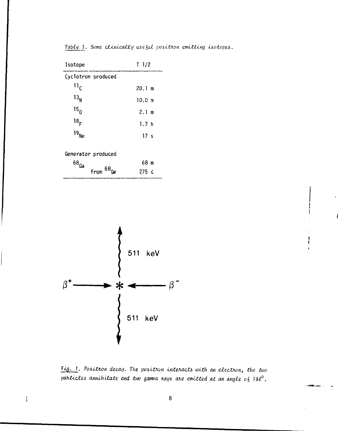| Isotope              | $T$ 1/2         |
|----------------------|-----------------|
| Cyclotron produced   |                 |
| $\mathbf{u}_{\rm c}$ | 20.1 m          |
| $13_{\sf N}$         | $10.0$ m        |
| 15 <sub>0</sub>      | $2.1 \text{ m}$ |
| 18 <sub>F</sub>      | 1.7h            |
| $19_{Ne}$            | 17 <sub>s</sub> |
|                      |                 |

Table 1. Some clinically useful positron emitting isotopes.

Generator produced

| $68$ <sub>Ga</sub> |              | 68 m             |
|--------------------|--------------|------------------|
|                    | $from 68$ Ge | 275 <sub>c</sub> |



Fig. 1. Positron decay. The positron interacts with an electron, the two particles annihilate and two gamma nays are emitted at an angle  $o_6$  180 $^0$ .

 $\frac{1}{2}$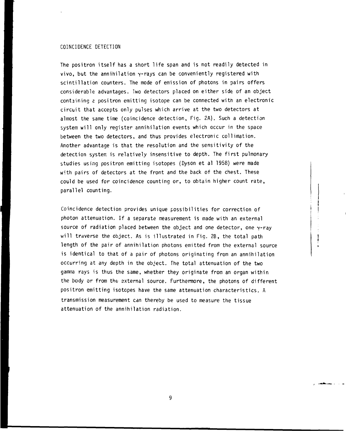#### COINCIDENCE DETECTION

The positron itself has a short life span and is not readily detected in vivo, but the annihilation y-rays can be conveniently registered with scintillation counters. The mode of emission of photons in pairs offers considerable advantages. Two detectors placed on either side of an object containing e positron emitting isotope can be connected with an electronic circuit that accepts only pulses which arrive at the two detectors at almost the same time (coincidence detection, Fig. 2A). Such a detection system will only register annihilation events which occur in the space between the two detectors, and thus provides electronic collimation. Another advantage is that the resolution and the sensitivity of the detection system is relatively insensitive to depth. The first pulmonary studies using positron emitting isotopes (Dyson et al 1958) were made with pairs of detectors at the front and the back of the chest. These could be used for coincidence counting or, to obtain higher count rate, parallel counting.

Coincidence detection provides unique possibilities for correction of photon attenuation. If a separate measurement is made with an external source of radiation placed between the object and one detector, one  $\gamma$ -ray will traverse the object. As is illustrated in Fig. 2B, the total path length of the pair of annihilation photons emitted from the external source is identical to that of a pair of photons originating from an annihilation occurring at any depth in the object. The total attenuation of the two gamma rays is thus the same, whether they originate from an organ within the body or from the external source. Furthermore, the photons of different positron emitting isotcpes have the same attenuation characteristics. A transmission measurement can thereby be used to measure the tissue attenuation of the annihilation radiation.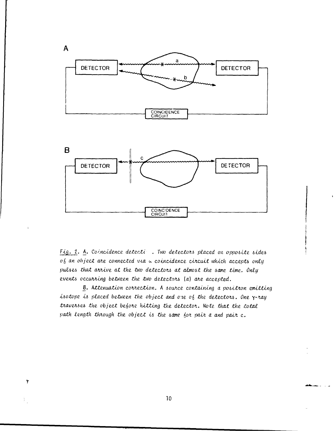

Fig. 2. A. Coincidence detecti . Two detectors placed on opposite sides of an object are connected via a coincidence circuit which accepts only pulses that arrive at the two detectors at almost the same time. Only events occurring between the two detectors (a) are accepted.

**B.** Attenuation correction. A source containing a positron emitting isotope is placed between the object and one of the detectors. One y-ray traverses the object before hitting the detector. Note that the total path length through the object is the same for pair a and pair c.

 $10$ 

 $\overline{r}$ 

 $\frac{1}{2}$  .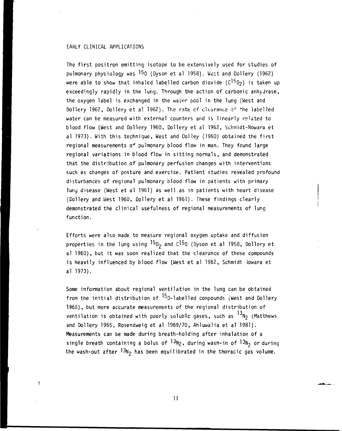#### EARLY CLINICAL APPLICATIONS

Ŧ

The first positron emitting isotope to be extensively used for studies of pulmonary physiology was  $^{15}$  (Dyson et al 1958). West and Dollery (1962) were able to show that inhaled labelled carbon dioxide ( $C^{15}$ O<sub>2</sub>) is taken up exceedingly rapidly in the lung. Through the action of carbonic anhydrase, the oxygen label is exchanged in the water pool in the lung (West and Dollery 1962, Dollery et al 1962). The rate of clearance of the labelled water can be measured with external counters and is linearly related to blood flow (West and Dollery 1960, Dollery et al 1962, Schmidt-Nowara et al 1973). With this technique, West and Dolley (1960) obtained the first regional measurements of pulmonary blood flow in man. They found large regional variations in blood flow in sitting normals, and demonstrated that the distribution of pulmonary perfusion changes with interventions such as changes of posture and exercise. Patient studies revealed profound disturbances of regional pulmonary blood flow in patients with primary lunj disease (West et al 1961) as well as in patients with heart disease (Oollery and West 1960, Dollery et al 1961). These findings clearly demonstrated the clinical usefulness of regional measurements of lung function.

Efforts were also made to measure regional oxygen uptake and diffusion properties in the lung using  $^{15}O<sub>2</sub>$  and C<sup>15</sup>0 (Dyson et al 1958, Dollery et al 1960), but it was soon realized that the clearance of these compounds is heavily influenced by blood flow (West et al 1962, Schmidt iowara et al 1973).

Some information about regional ventilation in the lung can be obtained from the initial distribution of  $^{15}$ O-labelled compounds (West and Dollery 1960), but more accurate measurements of the regional distribution of ventilation is obtained with poorly soluble gases, such as  $^{13}$ N2 (Matthews and Dollery 1965, Rosenzweig et al 1969/70, Ahluwalia et al 1981). Measurements can be made during breath-holding after inhalation of a single breath containing a bolus of  $^{13}N_2$ , during wasn-in of  $^{13}N_2$  or during the wash-out after  $13$ N<sub>2</sub> has been equilibrated in the thoracic gas volume.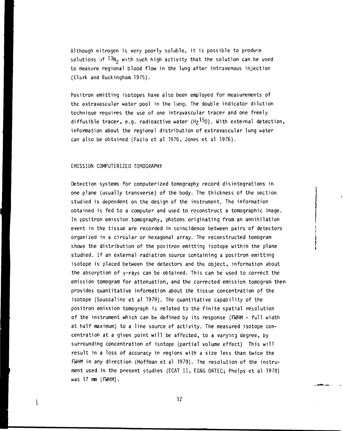Although nitrogen is very poorly soluble, it is possible to produce solutions of  $13N<sub>2</sub>$  with such high activity that the solution can be used to measure regional blood flow in the lung after intravenous injection (Clark and Buckingham 1975).

Positron emitting isotopes have also been employed for measurements of the extravascular water pool in the lung. The double indicator dilution technique requires the use of one intravascular tracer and one freely diffusible tracer, e.g. radioactive water  $(H_2^1)^{5}0$ ). With external detection, information about the regional distribution of extravascular lung water can also be obtained (Fazio et al 1976, Jones et al 1976).

#### EMISSION COMPUTERIZED TOMOGRAPHY

 $\mathbf{i}$ 

Detection systems for computerized tomography record disintegrations in one plane (usually transverse) of the body. The thickness of the section studied is dependent on the design of the instrument. The information obtained is fed to a computer and used to reconstruct a tomographic image. In positron emission tomography, photons originating from an annihilation event in the tissue are recorded in coincidence between pairs of detectors organized in a circular or hexagonal array. The reconstructed tomogram shows the distribution of the positron emitting isotope within the plane studied. If an external radiation source containing a positron emitting isotope is placed between the detectors and the object, information about the absorption of  $\gamma$ -rays can be obtained. This can be used to correct the emission tomogram for attenuation, and the corrected emission tomogram then provides quantitative information about the tissue concentration of the isotope (Soussaline et al 1979). The quantitative capability of the positron emission tomograph is related to the finite spatial resolution of the instrument which can be defined by its response (FWHM - full width at half maximum) to a line source of activity. The measured isotope concentration at a given point will be affected, to a varying degree, by surrounding concentration of isotope (partial volume effect) This will result in a loss of accuracy in regions with a size less than twice the FWHM in any direction (Hoffman et al 1979). The resolution of the instrument used in the present studies (ECAT II, EG&G ORTEC; Phelps et al 1978) was 17 mm (FWHM).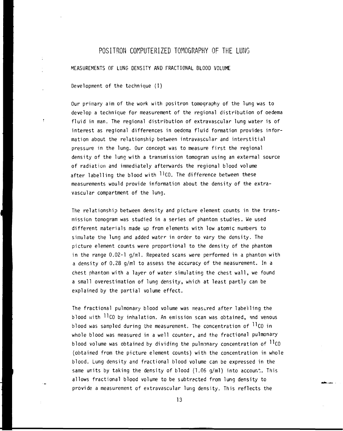# POSITRON COMPUTERIZED TOMOGRAPHY OF THE LUNG

MEASUREMENTS OF LUNG DENSITY AND FRACTIONAL BLOOD VOLUME

Development of the technique (I)

Our primary aim of the work with positron tomography of the lung was to develop a technique for measurement of the regional distribution of oedema fluid in man. The regional distribution of extravascular lung water is of interest as regional differences in oedema fluid formation provides information about the relationship between intravascular and interstitial pressure in the lung. Our concept was to measure first the regional density of the lung with a transmission tomogran using an external source of radiation and immediately afterwards the regional blood volume after labelling the blood with  $11c0$ . The difference between these measurements would provide information about the density of the extravascular compartment of the lung.

The relationship between density and picture element counts in the transmission tomogram was studied in a series of phantom studies. We used different materials made up from elements with low atomic numbers to simulate the lung and added water in order to vary the density. The picture element counts were proportional to the density of the phantom in the range  $0.02 - 1$  g/ml. Repeated scans were performed in a phantom with a density of 0.28 g/ml to assess the accuracy of the measurement. In a chest phantom with a layer of water simulating the chest wall, we found a small overestimation of lung density, which at least partly can be explained by the partial volume effect.

The fractional pulmonary blood volume was measured after labeiling the blood with  $11$ CO by inhalation. An emission scan was obtained, and venous blood was sampled during the measurement. The concentration of  $^{11}$ CO in whole blood was measured in a well counter, and the fractional pulmonary blood volume was obtained by dividing the pulmonary concentration of  $^{11}$ CO (obtained from the picture element counts) with the concentration in whole blood. Lung density and fractional blood volume can be expressed in the same units by taking the density of blood (1.06 g/ml) into account. This allows fractional blood volume to be subtracted from lung density to provide a measurement of extravascular lung density. This reflects the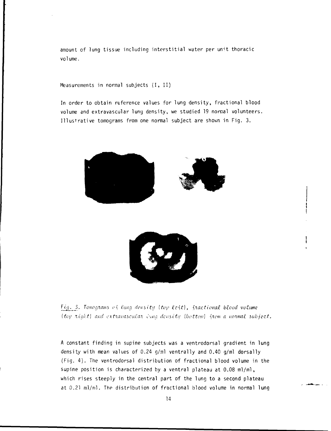amount of lung tissue including interstitial water per unit thoracic volume.

Measurements in normal subjects  $(I, II)$ 

In order to obtain reference values for lung density, fractional blood volume and extravascular lung density, we studied 19 normal volunteers. Illustrative tomograms from one normal subject are shown in Fig. 3.



Fig. 3. Tomograms of lung density I top left), fractional blood volume. *(top right)* and extravascular lang density (bottom) {rom a normal subject.

A constant finding in supine subjects was a ventrodorsal gradient in lung density with mean values of 0.24 g/ml ventrally and 0.40 g/ml dorsally (Fig. 4). The ventrodorsal distribution of fractional blood volume in the supine position is characterized by a ventral plateau at 0.08 ml/ml, which rises steeply in the central part of the lung to a second plateau at 0.21 ml/ml. The distribution of fractional blood volume in normal lung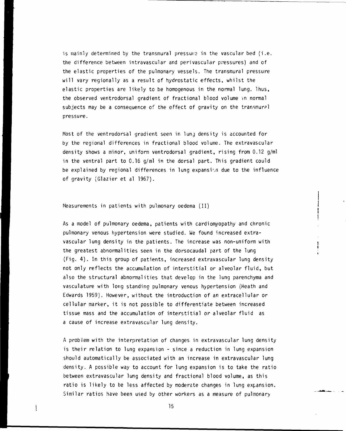is mainly determined by the transmural pressure in the vascular bed (i.e. the difference between intravascular and perivascular pressures) and of the elastic properties of the pulmonary vessels. The transmural pressure will vary regionally as a result of hydrostatic effects, whilst the elastic properties are likely to be homogenous in the normal lung. Thus, the observed ventrodorsal gradient of fractional blood volume in normal subjects may be a consequence of the effect of gravity on the transmural pressure.

Most of the ventrodorsal gradient seen in lung density is accounted for by the regional differences in fractional blood volume. The extravascular density shows a minor, uniform ventrodorsal gradient, rising from 0.12 g/ml in the ventral part to 0.16 g/ml in the dorsal part. This gradient could be explained by regional differences in lung expansion due to the influence of gravity (Glazier et al 1967).

#### Measurements in patients with pulmonary oedema (II)

As a model of pulmonary oedema, patients with cardiomyopathy and chronic pulmonary venous hypertension were studied. We found increased extravascular lung density in the patients. The increase was non-uniform with the greatest abnormalities seen in the dorsocaudal part of the lung (Fig. 4) . In this group of patients, increased extravascular lung density not only reflects the accumulation of interstitial or alveolar fluid, but also the structural abnormalities that develop in the lung parenchyma and vasculature with long standing pulmonary venous hypertension (Heath and Edwards 1959). However, without the introduction of an extracellular or cellular marker, it is not possible to differentiate between increased tissue mass and the accumulation of interstitial or alveolar fluid as a cause of increase extravascular lung density.

A problem with the interpretation of changes in extravascular lung density is their relation to lung expansion - since a reduction in lung expansion should automatically be associated with an increase in extravascular lung density. A possible way to account for lung expansion is to take the ratio between extravascular lung density and fractional blood volume, as this ratio is likely to be less affected by moderate changes in lung expansion. Similar ratios have been used by other workers as a measure of pulmonary

15

 $\mathbf{I}$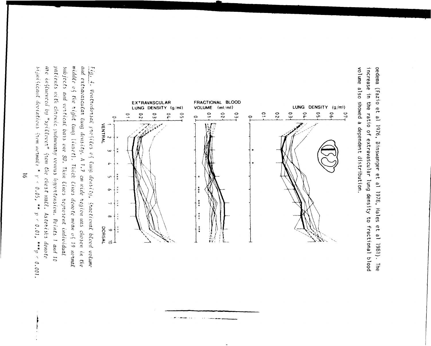increase in the ratio of extravascular lung density to fractional blood oedema (Fazio et al 1976, Binswanger et al 1978, Hales et al 1981). The volume also showed a dependent distribution.



.<br>Martin Alberta III a Ca

سيدان والمراد

 $5\left(\frac{1}{2}H\right)\left(\frac{2}{3}\right)\cos\left(\frac{4}{3}\cos\left(\frac{4}{3}\right)\cos\left(\frac{4}{3}\cos\left(\frac{4}{3}\right)\right)\right)$  +  $\frac{1}{3}\cos\left(\frac{4}{3}\cos\left(\frac{4}{3}\cos\left(\frac{4}{3}\cos\left(\frac{4}{3}\cos\left(\frac{4}{3}\cos\left(\frac{4}{3}\cos\left(\frac{4}{3}\cos\left(\frac{4}{3}\cos\left(\frac{4}{3}\cos\left(\frac{4}{3}\cos\left(\frac{4}{3}\cos\left(\frac{4}{3}\cos\left(\frac{4}{3}\cos\left(\frac{$ are influenced by "spillover" from the chest wall. Asterisks denote patients with chronic pulmonary venous hypertension. Points 1 and 10 middle of the right lung (inset). Thick lines denote mean of 19 normal and extravascular lung density. A 1.7 cm wide region was chosen in the  $\frac{F(q_1 - 4)}{F(q_2 - 4)}$ . Ventrodorsal profiles of lung donsity, fractional blood volume subjects and vertical bars one SD. Thin lines represent individual  $p < 0.01$ ,  $***$   $p < 0.001$ .

 $\tilde{\sigma}$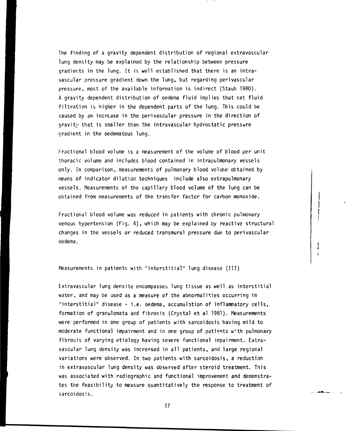The finding of a gravity dependent distribution of regional extravascular lung density may be explained by the relationship between pressure gradients in the lung. It is well established that there is an intravascular pressure gradient down the lung, but regarding perivascular pressure, most of the available information is indirect (Staub 1980). A gravity dependent distribution of oedema fluid implies that net fluid filtration is higher in the dependent parts of the lung. This could be caused by an increase in the perivascular pressure in the direction of gravity that is smaller than the intravascular hydrostatic pressure gradient in the oedematous lung.

Fractional blood volume is a measurement of the volume of blood per unit thoracic volume and includes blood contained in intrapulmonary vessels only. In comparison, measurements of pulmonary blood volume obtained by means of indicator dilution techniques include also extrapulmonary vessels. Measurements of the capillary blood volume of the lung can be obtained from measurements of the transfer factor for carbon monoxide.

Fractional blood volume was reduced in patients with chronic pulmonary venous hypertension (Fig. 4) , which may be explained by reactive structural changes in the vessels or reduced transmural pressure due to perivascular oedema.

Measurements in patients with "interstitial" lung disease (III)

Extravascular lung densite encompasses, lung tissue as well as interstitial water, and may be used as a measure of the abnormalities occurring in "interstitial" disease - i.e. oedema, accumulation of inflammatory cells, formation of granulomata and fibrosis (Crystal et al 1981). Measurements were performed in one group of patients with sarcoidosis having mild to moderate functional impairment and in one group of patients w'th pulmonary fibrosis of varying etiology having severe functional impairment. Extravascular lung density was increased in all patients, and large regional variations were observed. In two patients with sarcoidosis, a reduction in extravascular lung density was observed after steroid treatment. This was associated with radiographic and functional improvement and demonstrates the feasibility to measure quantitatively the response to treatment of sarcoidosis.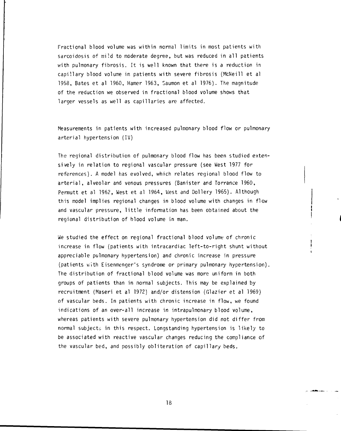Fractional blood volume was within normal limits in most patients with sarcoidosis of mild to moderate degree, but was reduced in all patients with pulmonary fibrosis. It is well known that there is a reduction in capillary blood volume in patients with severe fibrosis (McNeill et al 1958, Bates et al 1960, Hamer 1963, Saumon et al 1976). The magnitude of the reduction we observed in fractional blood volume shows that larger vessels as well as capillaries are affected.

Measurements in patients with increased pulmonary blood flow or pulmonary arterial hypertension (IV)

The regional distribution of pulmonary blood flow has been studied extensively in relation to regional vascular pressure (see West 1977 for references). A model has evolved, which relates regional blood flow to arterial, alveolar and venous pressures (Banister and Torrance 1960, Permutt et al 1962, West et al 1964, West and Dollery 1965). Although this model implies regional changes in blood volume with changes in flow and vascular pressure, little information has been obtained about the regional distribution of blood volume in man.

We studied the effect on regional fractional blood volume of chronic increase in flow (patients with intracardiac left-to-right shunt without appreciable pulmonary hypertension) and chronic increase in pressure (patients with Eisenmenger's syndrome or primary pulmonary hypertension). The distribution of fractional blood volume was more uniform in both groups of patients than in normal subjects. This may be explained by recruitment (Maseri et al 1972) and/or distension (Glazier et al 1969) of vascular beds. In patients with chronic increase in flow, we found indications of an over-all increase in intrapulmonary blood volume, whereas patients with severe pulmonary hypertension did not differ from normal subjects in this respect. Longstanding hypertension is likely to be associated with reactive vascular changes reducing the compliance of the vascular bed, and possibly obliteration of capillary beds.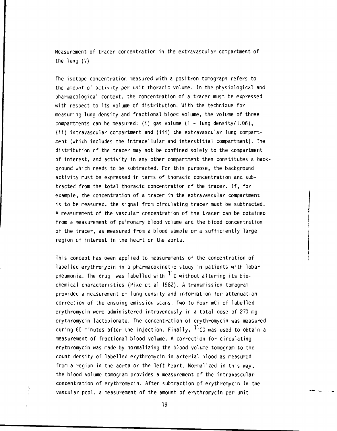Measurement of tracer concentration in the extravascular compartment of the lung (V)

The isotope concentration measured with a positron tomograph refers to the amount of activity per unit thoracic volume. In the physiological and pharmacological context, the concentration of a tracer must be expressed with respect to its volume of distribution. With the technique for measuring lung density and fractional blood volume, the volume of three compartments can be measured: (i) gas volume (1 - lung density/1.06), (ii) intravascular compartment and (iii) ihe extravascular lung compartment (which includes the intracellular and interstitial compartment). The distribution of the tracer may not be confined solely to the compartment of interest, and activity in any other compartment then constitutes a background which needs to be subtracted. For this purpose, the background activity must be expressed in terms of thoracic concentration and subtracted from the total thoracic concentration of the tracer. If, for example, the concentration of a tracer in the extravascular compartment is to be measured, the signal from circulating tracer must be subtracted. A measurement of the vascular concentration of the tracer can be obtained from a measurement of pulmonary blood volume and the blood concentration of the tracer, as measured from a blood sample or a sufficiently large region of interest in the heart or the aorta.

This concept has been applied to measurements of the concentration of labelled erythromycin in a pharmacokinetic study in patients with lobar pneumonia. The drug was labelled with  $\frac{11}{3}$ C without altering its biochemical characteristics (Pike et al 1982). A transmission tomogram provided a measurement of lung density and information for attenuation correction of the ensuing emission scans. Two to four mCi of labelled erythromycin were administered intravenously in a total dose of 270 mg erythromycin lactobionate. The concentration of erythromycin was measured during 60 minutes after the injection. Finally,  $^{11}$ CO was used to obtain a measurement of fractional blood volume. A correction for circulating erythromycin was made by normalizing the blood volume tomogram to the count density of labelled erythromycin in arterial blood as measured from a region in the aorta or the left heart. Normalized in this way, the blood volume tomogram provides a measurement of the intravascular concentration of erythromycin. After subtraction of erythromycin in the vascular pool, a measurement of the amount of erythromycin per unit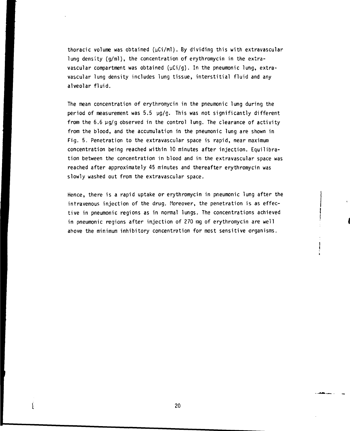**thoracic volume was obtained (yCi/mi). By dividing this with extravascular lung density (g/ml), the concentration of erythromycin in the extra**vascular compartment was obtained ( $\mu$ Ci/g). In the pneumonic lung, extra**vascular lung density includes lung tissue, interstitial fluid and any alveolar fluid.**

**The mean concentration of erythromycin in the pneumonic lung during the period of measurement was 5.5 yg/g. This was not significantly different from the 6.6 yg/g observed in the control lung. The clearance of activity from the blood, and the accumulation in the pneumonic lung are shown in Fig. 5. Penetration to the extravascular space is rapid, near maximum concentration being reached within 10 minutes after injection. Equilibration between the concentration in blood and in the extravascular space was reached after approximately 45 minutes and thereafter erythromycin was slowly washed out from the extravascular space.**

**Hence, there is a rapid uptake or erythromycin in pneumonic lung after the intravenous injection of the drug. Moreover, the penetration is as effective in pneumonic regions as in normal lungs. The concentrations achieved** in pneumonic regions after injection of 270 mg of erythromycin are well **above the minimum inhibitory concentration for most sensitive organisms.**

 $\mathbf{I}$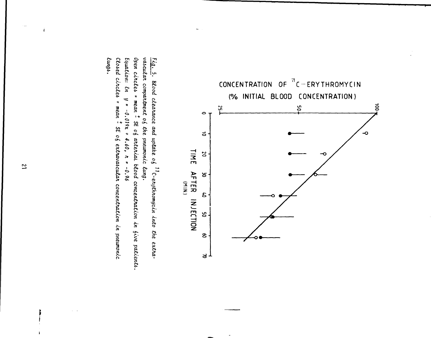

Closed circles = mean - SE of extravascular concentration in pneumonic Equation: En Open circles = mean = SE of arterial blood concentration in five patients. vascular compartment of the pneumonic lung. Fig. 5. Blood clearance and uptake of  $^{11}$ C-erythromycin into the extra- $\frac{g}{g}$  $-0.019x + 4.60$ ,  $\pi = -0.96$ 

lungs.

 $\overline{2}$ 

 $\mathbf{I}$ 

 $\ddot{\mathbf{f}}$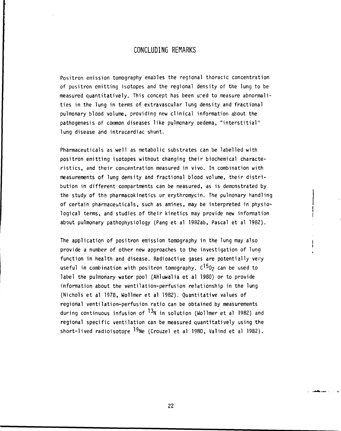## **CONCLUDING REMARKS**

**Positron emission tomography enables the regional thoracic concentration of positron emitting isotopes and the regional density of the lung to be measured quantitatively. This concept has been ured to measure abnormalities in the lung in terms of extravascular lung density and fractional pulmonary blood volume, providing new clinical information about the pathogenesis of common diseases like pulmonary oedema, "interstitial" lung disease and intracardiac shunt.**

**Pharmaceuticals as well as metabolic substrates can be labelled with positron emitting isotopes without changing their biochemical characteristics, and their concentration measured in vivo. In combination with measurements of lung density and fractional blood volume, their distribution in different compartments can be measured, as is demonstrated by the study of tha pharmacokinetics or erythromycin. The pulmonary handling** of certain pharmaceuticals, such as amines, may be interpreted in physio**logical terms, and studies of their kinetics may provide new information j about pulmonary pathophysiology (Pang et al 1982ab, Pascal et al 1982).**

**The application of positron emission tomography in the lung may also | provide a number of other new approaches to the investigation of lung ; function in health and disease. Radioactive gases are potentially very useful in combination with positron tomography. C^02 can be used to label the pulmonary water pool (Ahluwalia et al 1980) or to provide information about the ventilation-perfusion relationship in the lung (Nichols et al 1978, Wollmer et al 1982). Quantitative values of regional ventilation-perfusion ratio can be obtained by measurements during continuous infusion of ^ N in solution (Wollmer et al 1982) and regional specific ventilation can be measured quantitatively using the** short-lived radioisotore <sup>19</sup>Ne (Crouzel et al 1980, Valind et al 1982).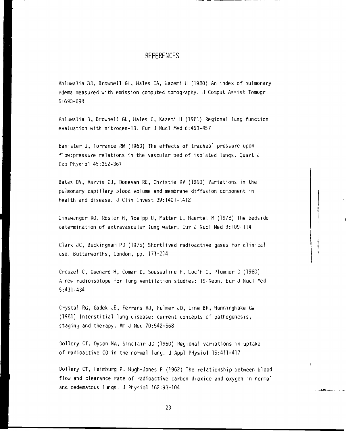#### **REFERENCES**

Ahluwalia BD, Brownell GL, Hales CA, Wazemi H (1980) An index of pulmonary edema measured with emission computed tomography. J Comput Assist Tomogr 5:690-694

Ahluwalia B, Browneli GL, Hales C, Kazemi H (1931) Regional lung function evaluation with nitrogen-13. Eur J Nucl Med 6:453-457

Banister J, Torrance RW (1960) The effects of tracheal pressure upon flow:pressure relations in the vascular bed of isolated lungs. Quart J Exp Physio! 45:352-367

Bates DV, Varvis CJ, Donevan RE, Christie RV (1960) Variations in the pulmonary capillary blood volume and membrane diffusion component in health and disease. J Clin Invest 39:1401-1412

 $\n *Uniswenger RO*, *Rösler H*, *Noelpp U*, *Matter L*, *Haertel M* (1978) *The bedside*$ determination of extravascular lung water. Eur J Nucl Med 3:109-114

Clark JC, Buckingham PD (1975) Shortlived radioactive gases for clinical use. Butterworths, London, pp. 171-214

Crouzel C, Guenard H, Comar D, Soussaline F, Loc'h C, Plummer D (1980) A new radioisotope for lung ventilation studies: 19-Neon. Eur J Nucl Med 5:431-434

Crystal RG, Gadek JE, Ferrans VJ, Fulmer JD, Line BR, Hunninghake GW (1981) Interstitial lung disease: current concepts of pathogenesis, staging and therapy. Am J Med 70:542-568

Dollery CT, Dyson NA, Sinclair JD (1960) Regional variations in uptake of radioactive CO in the normal lung. J Appl PHysiol 15:411-417

Dollery CT, Heimburg P. Hugh-Jones P (1962) The relationship between blood flow and clearance rate of radioactive carbon dioxide and oxygen in normal and oedematous lungs. J Physiol 162:93-104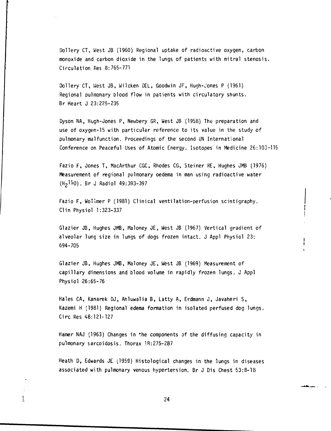Dollery CT, West JB (1960) Regional uptake of radioactive oxygen, carbon monoxide and carbon dioxide in the lungs of patients with mitral stenosis. Circulation Res 8:765-771

Dollery CT, West JB, Wilcken DEL, Goodwin JF, Hugh-Jones P (1961) Regional pulmonary blood flow in patients with circulatory shunts. Br Heart J 23:225-235

Dyson NA, Hugh-Jones P, Newbery GR, West JB (1958) The preparation and use of oxygen-15 with particular reference to its value in the study of pulmonary malfunction. Proceedings of the second UN International Conference on Peaceful Uses of Atomic Energy. Isotopes in Medicine 26:103-115

Fazio F, Jones T, MacArthur CGC, Rhodes CG, Steiner RE, Hughes JMB (1976) Measurement of regional pulmonary oedema in man using radioactive water (H<sub>2</sub>15O). Br J Radiol 49:393-397

Fazio F, Wollmer P (1981) Clinical ventilation-perfusion scintigraphy. Clin Physiol 1:323-337

Glazier JB, Hughes JMB, Maloney JE, West JB (1967) Vertical gradient of alveolar lung size in lungs of dogs frozen intact. J Appl Physiol 23: 694-705

Glazier JB, Hughes JMB, Maloney JE, West JB (1969) Measurement of capillary dimensions and blood volume in rapidly frozen lungs. J Appl Physiol 26:65-76

Hales CA, Kanarek DJ, Ahluwalia B, Latty A, Erdmann J, Javaheri S, Kazemi H (1981) Regional edema formation in isolated perfused dog lungs. Circ Res 48:121-127

Hamer NAJ (1963) Changes in \*he components of the diffusing capacity in pulmonary sarcoidosis. Thorax 18:275-287

Heath D, Edwards JE (1959) Histological changes in the lungs in diseases associated with pulmonary venous hypertension. Br J Dis Chest 53:8-18

24

 $\frac{1}{2}$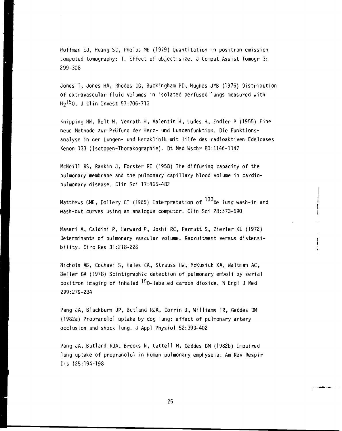Hoffman EJ, Huang SC, Pheips ME (1979) Quantitation in positron emission computed tomography: 1. Effect of object size. J Comput Assist Tomogr 3: 299-308

Jones T, Jones HA, Rhodes CG, Buckingham PD, Hughes JMB (1976) Distribution of extravascular fluid volumes in isolated perfused lungs measured with H<sup>2</sup> <sup>15</sup>0. J Clin Invest 57:706-713

Knipping HW, Bolt W, Venrath H, Valentin H, Ludes H, Endler P (1955) Eine neue Methode zur Prufung der Herz- und Lungenfunktion. Die Funktionsanalyse in der Lungen- und Herzklinik mit Hilfe des radioaktiven Edelgases Xenon 133 (Isotopen-Thorakographie). Dt Med Wschr 80:1146-1147

McNeill RS, Rankin J, Forster RE (1958) The diffusing capacity of the pulmonary membrane and the pulmonary capillary blood volume in cardiopulmonary disease. Clin Sci 17:465-482

Matthews CME, Dollery CT (1965) Interpretation of  $^{133}$ Xe lung wash-in and wash-out curves using an analogue computor. Clin Sci 28:573-590

Maseri A, Caldini P, Harward P, Joshi RC, Permutt S, Zierler KL (1972) Determinants of pulmonary vascular volume. Recruitment versus distensibility . Circ Res 31:218-228

ļ

الحفين

Nichols AB, Cochavi S, Hales CA, Strauss HW, McKusick KA, Waltman AC, Seller GA (1978) Scintigraphic detection of pulmonary emboli by serial positron imaging of inhaled <sup>15</sup>0-labeled carbon dioxide. N Engl J Med 299:279-284

Pang JA, Blackburn JP, Butland RJA, Corrin B, Williams TR, Geddes DM (1982a) Propranolol uptake by dog lung: effect of pulmonary artery occlusion and shock lung. J Appl Physiol 52:393-402

Pang JA, Butland RJA, Brooks N, Cattell M, Geddes DM (1982b) Impaired lung uptake of propranolol in human pulmonary emphysema. Am Rev Respir Dis 125:194-198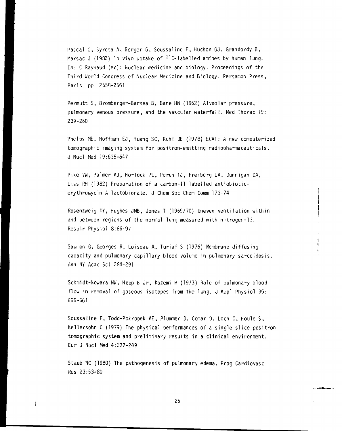Pascal O, Syrota A, Berger G, Soussaline F, Huchon GJ, Grandordy B, Marsac J (1982) In vivo uptake of  $\mathcal{W}$ -labelled amines by human lung. In: C Raynaud (ed): Nuclear medicine and biology. Proceedings of the Third World Congress of Nuclear Medicine and Biology. Pergamon Press, Paris, pp. 2553-2561

Permutt S, Bromberger-Barnea B, Bane HN (1962) Alveolar pressure, pulmonary venous pressure, and the vascular waterfall . Med Thorac 19: 239-260

Phelps ME, Hoffman EJ, Huang SC, Kuhl DE (1978) ECAT: A new computerized tomographic imaging system for positron-emitting radiopharmaceuticals. J Nucl Med 19:635-647

Pike VW, Palmer AJ, Horlock PL, Perun TJ, Freiberg LA, Dunnigan DA, Liss RH (1982) Preparation of a carbon-11 labelled antiobioticerythromycin A lactobionate. J Chem Soc Chem Comm 173-74

Rosenzweig OY, Hughes JMB, Jones T (1969/70) Uneven ventilation within and between regions of the normal lung measured with nitrogen-13. Respir Physiol 8:86-97

Saumon G, Georges R, Loiseau A, Turiaf S (1976) Membrane diffusing capacity and pulmonary capillary blood volume in pulmonary sarcoidosis. Ann NY Acad Sci 284-291

Schmidt-Nowara WW, Hoop B Jr, Kazemi H (1973) Role of pulmonary blood flow in removal of gaseous isotopes from the lung. J Appl Physiol 35: 655-661

Soussaline F, Todd-Pokropek AE, Plummer D, Comar D, Loch C, Houle S, Kellersohn C (1979) The physical performances of a single slice positron tomographic system and preliminary results in a clinical environment. Eur J Nucl Med 4:237-249

Staub NC (1980) The pathogenesis of pulmonary edema. Prog Cardiovasc Res 23:53-80

Ĵ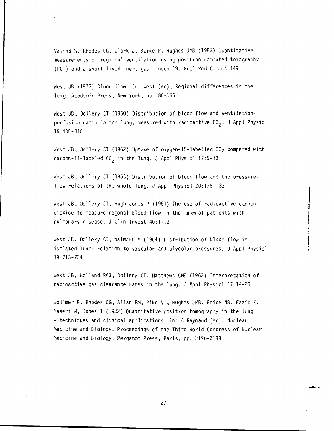Valind S, Rhodes CG, Clark J, Burke P, Hughes JMB (1983) Quantitative measurements of regional ventilation using positron computed tomography (PCT) and a short lived inert gas - neon-19. Nucl Med Comm 4:149

West JB (1977) Blood flow. In: West (ed), Regional differences in the lung. Academic Press, New York, pp. 86-166

West JB, Dollery CT (1960) Distribution of blood flow and ventilationperfusion ratio in the lung, measured with radioactive  $CO<sub>2</sub>$ . J Appl Physiol 15:405-410

West JB, Dollery CT (1962) Uptake of oxygen-15-labelled CO<sub>2</sub> compared with carbon-11-labeled  $CO<sub>2</sub>$  in the lung. J Appl PHysiol 17:9-13

West JB, Dollery CT (1965) Distribution of blood flow and the pressureflow relations of the whole lung. J Appl Physiol 20:175-183

West JB, Dollery CT, Hugh-Jones P (1961) The use of radioactive carbon dioxide to measure regonal blood flow in the lungs of patients with pulmonary disease. J Clin Invest 40:1-12

West JB, Dollery CT, Naimark A (1964) Distribution of blood flow in isolated lung; relation to vascular and alveolar pressures. J Appl Physiol 19:713-724

West JB, Holland RAB, Dollery CT, Matthews CME (1962) Interpretation of radioactive gas clearance retes in the lung. J Appl Physiol 17:14-20

Wollmer P. Rhodes CG, Allan RM, Pike V., Hughes JMB, Pride NB, Fazio F, Maseri M, Jones T (1982) Quantitative positron tomography in the lung - techniques and clinical applications. In: C Raynaud (ed): Nuclear Medicine and Biology. Proceedings of the Third World Congress of Nuclear Medicine and Biology. Pergamon Press, Paris, pp. 2196-2199

للمرابطهم